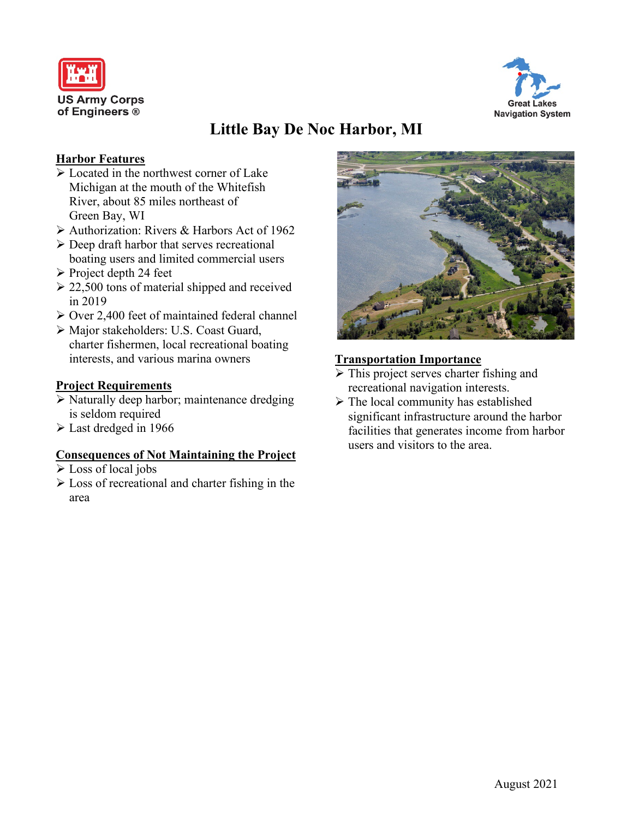



# **Little Bay De Noc Harbor, MI**

# **Harbor Features**

- $\triangleright$  Located in the northwest corner of Lake Michigan at the mouth of the Whitefish River, about 85 miles northeast of Green Bay, WI
- Authorization: Rivers & Harbors Act of 1962
- $\triangleright$  Deep draft harbor that serves recreational boating users and limited commercial users
- $\triangleright$  Project depth 24 feet
- $\geq$  22,500 tons of material shipped and received in 2019
- Over 2,400 feet of maintained federal channel
- Major stakeholders: U.S. Coast Guard, charter fishermen, local recreational boating interests, and various marina owners

# **Project Requirements**

- $\triangleright$  Naturally deep harbor; maintenance dredging is seldom required
- Last dredged in 1966

#### **Consequences of Not Maintaining the Project**

- Loss of local jobs
- $\triangleright$  Loss of recreational and charter fishing in the area



### **Transportation Importance**

- $\triangleright$  This project serves charter fishing and recreational navigation interests.
- $\triangleright$  The local community has established significant infrastructure around the harbor facilities that generates income from harbor users and visitors to the area.